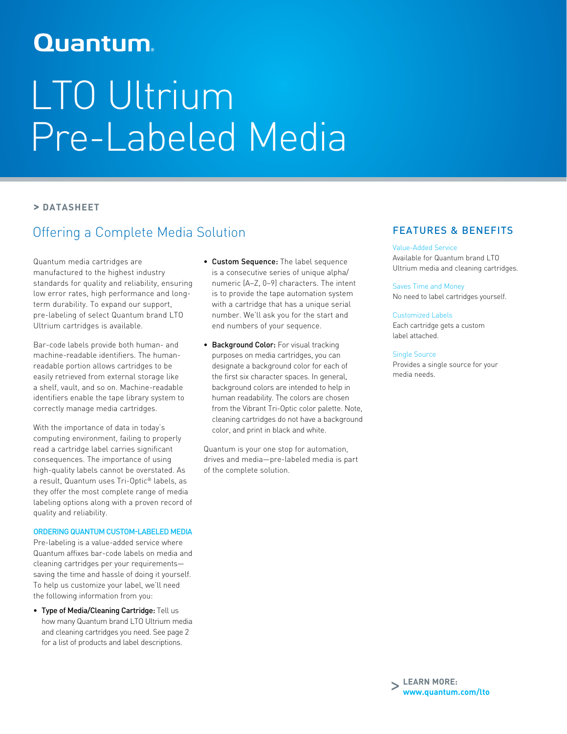# **Quantum**

# LTO Ultrium Pre-Labeled Media

## **> DATASHEET**

# Offering a Complete Media Solution

Quantum media cartridges are manufactured to the highest industry standards for quality and reliability, ensuring low error rates, high performance and longterm durability. To expand our support, pre-labeling of select Quantum brand LTO Ultrium cartridges is available.

Bar-code labels provide both human- and machine-readable identifiers. The humanreadable portion allows cartridges to be easily retrieved from external storage like a shelf, vault, and so on. Machine-readable identifiers enable the tape library system to correctly manage media cartridges.

With the importance of data in today's computing environment, failing to properly read a cartridge label carries significant consequences. The importance of using high-quality labels cannot be overstated. As a result, Quantum uses Tri-Optic® labels, as they offer the most complete range of media labeling options along with a proven record of quality and reliability.

### ORDERING QUANTUM CUSTOM-LABELED MEDIA

Pre-labeling is a value-added service where Quantum affixes bar-code labels on media and cleaning cartridges per your requirements saving the time and hassle of doing it yourself. To help us customize your label, we'll need the following information from you:

• Type of Media/Cleaning Cartridge: Tell us how many Quantum brand LTO Ultrium media and cleaning cartridges you need. See page 2 for a list of products and label descriptions.

- Custom Sequence: The label sequence is a consecutive series of unique alpha/ numeric (A–Z, 0–9) characters. The intent is to provide the tape automation system with a cartridge that has a unique serial number. We'll ask you for the start and end numbers of your sequence.
- Background Color: For visual tracking purposes on media cartridges, you can designate a background color for each of the first six character spaces. In general, background colors are intended to help in human readability. The colors are chosen from the Vibrant Tri-Optic color palette. Note, cleaning cartridges do not have a background color, and print in black and white.

Quantum is your one stop for automation, drives and media—pre-labeled media is part of the complete solution.

## FEATURES & BENEFITS

Value-Added Service Available for Quantum brand LTO Ultrium media and cleaning cartridges.

Saves Time and Money No need to label cartridges yourself.

Customized Labels

Each cartridge gets a custom label attached.

### Single Source

Provides a single source for your media needs.